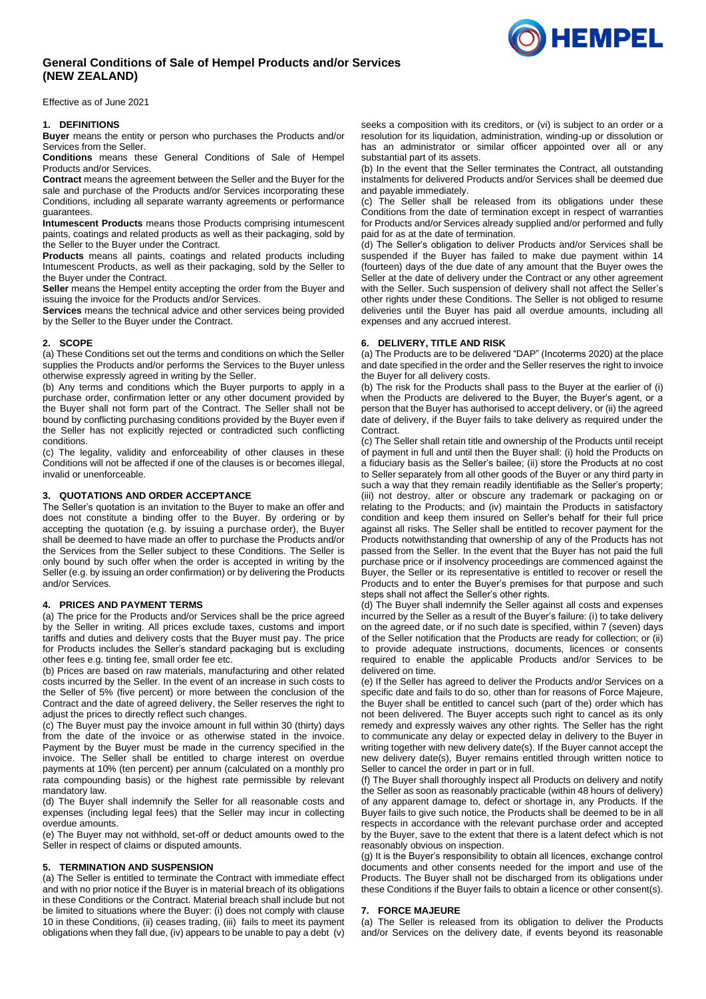# **General Conditions of Sale of Hempel Products and/or Services (NEW ZEALAND)**

Effective as of June 2021

### **1. DEFINITIONS**

**Buyer** means the entity or person who purchases the Products and/or Services from the Seller.

**Conditions** means these General Conditions of Sale of Hempel Products and/or Services.

**Contract** means the agreement between the Seller and the Buyer for the sale and purchase of the Products and/or Services incorporating these Conditions, including all separate warranty agreements or performance guarantees.

**Intumescent Products** means those Products comprising intumescent paints, coatings and related products as well as their packaging, sold by the Seller to the Buyer under the Contract.

**Products** means all paints, coatings and related products including Intumescent Products, as well as their packaging, sold by the Seller to the Buyer under the Contract.

**Seller** means the Hempel entity accepting the order from the Buyer and issuing the invoice for the Products and/or Services.

**Services** means the technical advice and other services being provided by the Seller to the Buyer under the Contract.

### **2. SCOPE**

(a) These Conditions set out the terms and conditions on which the Seller supplies the Products and/or performs the Services to the Buyer unless otherwise expressly agreed in writing by the Seller.

(b) Any terms and conditions which the Buyer purports to apply in a purchase order, confirmation letter or any other document provided by the Buyer shall not form part of the Contract. The Seller shall not be bound by conflicting purchasing conditions provided by the Buyer even if the Seller has not explicitly rejected or contradicted such conflicting conditions.

(c) The legality, validity and enforceability of other clauses in these Conditions will not be affected if one of the clauses is or becomes illegal, invalid or unenforceable.

### **3. QUOTATIONS AND ORDER ACCEPTANCE**

The Seller's quotation is an invitation to the Buyer to make an offer and does not constitute a binding offer to the Buyer. By ordering or by accepting the quotation (e.g. by issuing a purchase order), the Buyer shall be deemed to have made an offer to purchase the Products and/or the Services from the Seller subject to these Conditions. The Seller is only bound by such offer when the order is accepted in writing by the Seller (e.g. by issuing an order confirmation) or by delivering the Products and/or Services.

### **4. PRICES AND PAYMENT TERMS**

(a) The price for the Products and/or Services shall be the price agreed by the Seller in writing. All prices exclude taxes, customs and import tariffs and duties and delivery costs that the Buyer must pay. The price for Products includes the Seller's standard packaging but is excluding other fees e.g. tinting fee, small order fee etc.

(b) Prices are based on raw materials, manufacturing and other related costs incurred by the Seller. In the event of an increase in such costs to the Seller of 5% (five percent) or more between the conclusion of the Contract and the date of agreed delivery, the Seller reserves the right to adjust the prices to directly reflect such changes.

(c) The Buyer must pay the invoice amount in full within 30 (thirty) days from the date of the invoice or as otherwise stated in the invoice. Payment by the Buyer must be made in the currency specified in the invoice. The Seller shall be entitled to charge interest on overdue payments at 10% (ten percent) per annum (calculated on a monthly pro rata compounding basis) or the highest rate permissible by relevant mandatory law.

(d) The Buyer shall indemnify the Seller for all reasonable costs and expenses (including legal fees) that the Seller may incur in collecting overdue amounts.

(e) The Buyer may not withhold, set-off or deduct amounts owed to the Seller in respect of claims or disputed amounts.

#### **5. TERMINATION AND SUSPENSION**

(a) The Seller is entitled to terminate the Contract with immediate effect and with no prior notice if the Buyer is in material breach of its obligations in these Conditions or the Contract. Material breach shall include but not be limited to situations where the Buyer: (i) does not comply with clause [10](#page-1-0) in these Conditions, (ii) ceases trading, (iii) fails to meet its payment obligations when they fall due, (iv) appears to be unable to pay a debt (v)

seeks a composition with its creditors, or (vi) is subject to an order or a resolution for its liquidation, administration, winding-up or dissolution or has an administrator or similar officer appointed over all or any substantial part of its assets.

(b) In the event that the Seller terminates the Contract, all outstanding instalments for delivered Products and/or Services shall be deemed due and payable immediately.

(c) The Seller shall be released from its obligations under these Conditions from the date of termination except in respect of warranties for Products and/or Services already supplied and/or performed and fully paid for as at the date of termination.

(d) The Seller's obligation to deliver Products and/or Services shall be suspended if the Buyer has failed to make due payment within 14 (fourteen) days of the due date of any amount that the Buyer owes the Seller at the date of delivery under the Contract or any other agreement with the Seller. Such suspension of delivery shall not affect the Seller's other rights under these Conditions. The Seller is not obliged to resume deliveries until the Buyer has paid all overdue amounts, including all expenses and any accrued interest.

# **6. DELIVERY, TITLE AND RISK**

(a) The Products are to be delivered "DAP" (Incoterms 2020) at the place and date specified in the order and the Seller reserves the right to invoice the Buyer for all delivery costs.

(b) The risk for the Products shall pass to the Buyer at the earlier of (i) when the Products are delivered to the Buyer, the Buyer's agent, or a person that the Buyer has authorised to accept delivery, or (ii) the agreed date of delivery, if the Buyer fails to take delivery as required under the **Contract.** 

(c) The Seller shall retain title and ownership of the Products until receipt of payment in full and until then the Buyer shall: (i) hold the Products on a fiduciary basis as the Seller's bailee; (ii) store the Products at no cost to Seller separately from all other goods of the Buyer or any third party in such a way that they remain readily identifiable as the Seller's property; (iii) not destroy, alter or obscure any trademark or packaging on or relating to the Products; and (iv) maintain the Products in satisfactory condition and keep them insured on Seller's behalf for their full price against all risks. The Seller shall be entitled to recover payment for the Products notwithstanding that ownership of any of the Products has not passed from the Seller. In the event that the Buyer has not paid the full purchase price or if insolvency proceedings are commenced against the Buyer, the Seller or its representative is entitled to recover or resell the Products and to enter the Buyer's premises for that purpose and such steps shall not affect the Seller's other rights.

(d) The Buyer shall indemnify the Seller against all costs and expenses incurred by the Seller as a result of the Buyer's failure: (i) to take delivery on the agreed date, or if no such date is specified, within 7 (seven) days of the Seller notification that the Products are ready for collection; or (ii) to provide adequate instructions, documents, licences or consents required to enable the applicable Products and/or Services to be delivered on time.

(e) If the Seller has agreed to deliver the Products and/or Services on a specific date and fails to do so, other than for reasons of Force Majeure, the Buyer shall be entitled to cancel such (part of the) order which has not been delivered. The Buyer accepts such right to cancel as its only remedy and expressly waives any other rights. The Seller has the right to communicate any delay or expected delay in delivery to the Buyer in writing together with new delivery date(s). If the Buyer cannot accept the new delivery date(s), Buyer remains entitled through written notice to Seller to cancel the order in part or in full.

(f) The Buyer shall thoroughly inspect all Products on delivery and notify the Seller as soon as reasonably practicable (within 48 hours of delivery) of any apparent damage to, defect or shortage in, any Products. If the Buyer fails to give such notice, the Products shall be deemed to be in all respects in accordance with the relevant purchase order and accepted by the Buyer, save to the extent that there is a latent defect which is not reasonably obvious on inspection.

(g) It is the Buyer's responsibility to obtain all licences, exchange control documents and other consents needed for the import and use of the Products. The Buyer shall not be discharged from its obligations under these Conditions if the Buyer fails to obtain a licence or other consent(s).

#### **7. FORCE MAJEURE**

(a) The Seller is released from its obligation to deliver the Products and/or Services on the delivery date, if events beyond its reasonable

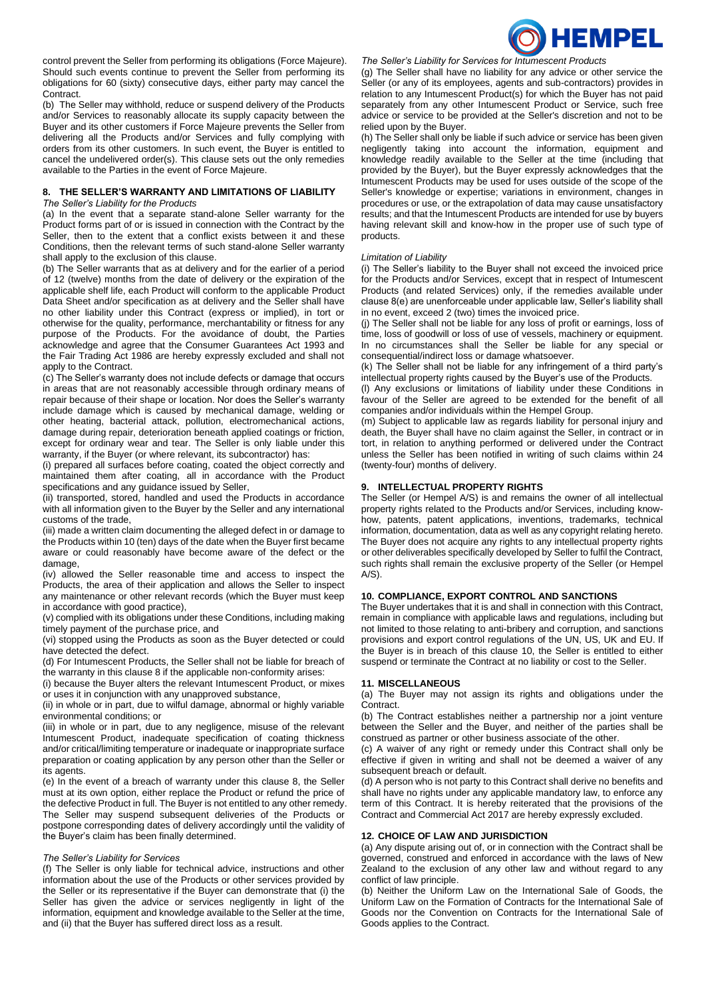

control prevent the Seller from performing its obligations (Force Majeure). Should such events continue to prevent the Seller from performing its obligations for 60 (sixty) consecutive days, either party may cancel the Contract.

(b) The Seller may withhold, reduce or suspend delivery of the Products and/or Services to reasonably allocate its supply capacity between the Buyer and its other customers if Force Majeure prevents the Seller from delivering all the Products and/or Services and fully complying with orders from its other customers. In such event, the Buyer is entitled to cancel the undelivered order(s). This clause sets out the only remedies available to the Parties in the event of Force Majeure.

#### **8. THE SELLER'S WARRANTY AND LIMITATIONS OF LIABILITY** *The Seller's Liability for the Products*

(a) In the event that a separate stand-alone Seller warranty for the Product forms part of or is issued in connection with the Contract by the Seller, then to the extent that a conflict exists between it and these Conditions, then the relevant terms of such stand-alone Seller warranty shall apply to the exclusion of this clause.

(b) The Seller warrants that as at delivery and for the earlier of a period of 12 (twelve) months from the date of delivery or the expiration of the applicable shelf life, each Product will conform to the applicable Product Data Sheet and/or specification as at delivery and the Seller shall have no other liability under this Contract (express or implied), in tort or otherwise for the quality, performance, merchantability or fitness for any purpose of the Products. For the avoidance of doubt, the Parties acknowledge and agree that the Consumer Guarantees Act 1993 and the Fair Trading Act 1986 are hereby expressly excluded and shall not apply to the Contract.

(c) The Seller's warranty does not include defects or damage that occurs in areas that are not reasonably accessible through ordinary means of repair because of their shape or location. Nor does the Seller's warranty include damage which is caused by mechanical damage, welding or other heating, bacterial attack, pollution, electromechanical actions, damage during repair, deterioration beneath applied coatings or friction, except for ordinary wear and tear. The Seller is only liable under this warranty, if the Buyer (or where relevant, its subcontractor) has:

(i) prepared all surfaces before coating, coated the object correctly and maintained them after coating, all in accordance with the Product specifications and any guidance issued by Seller,

(ii) transported, stored, handled and used the Products in accordance with all information given to the Buyer by the Seller and any international customs of the trade,

(iii) made a written claim documenting the alleged defect in or damage to the Products within 10 (ten) days of the date when the Buyer first became aware or could reasonably have become aware of the defect or the damage,

(iv) allowed the Seller reasonable time and access to inspect the Products, the area of their application and allows the Seller to inspect any maintenance or other relevant records (which the Buyer must keep in accordance with good practice),

(v) complied with its obligations under these Conditions, including making timely payment of the purchase price, and

(vi) stopped using the Products as soon as the Buyer detected or could have detected the defect.

(d) For Intumescent Products, the Seller shall not be liable for breach of the warranty in this clause 8 if the applicable non-conformity arises:

(i) because the Buyer alters the relevant Intumescent Product, or mixes

or uses it in conjunction with any unapproved substance, (ii) in whole or in part, due to wilful damage, abnormal or highly variable

environmental conditions; or (iii) in whole or in part, due to any negligence, misuse of the relevant Intumescent Product, inadequate specification of coating thickness and/or critical/limiting temperature or inadequate or inappropriate surface preparation or coating application by any person other than the Seller or its agents.

(e) In the event of a breach of warranty under this clause 8, the Seller must at its own option, either replace the Product or refund the price of the defective Product in full. The Buyer is not entitled to any other remedy. The Seller may suspend subsequent deliveries of the Products or postpone corresponding dates of delivery accordingly until the validity of the Buyer's claim has been finally determined.

### *The Seller's Liability for Services*

(f) The Seller is only liable for technical advice, instructions and other information about the use of the Products or other services provided by the Seller or its representative if the Buyer can demonstrate that (i) the Seller has given the advice or services negligently in light of the information, equipment and knowledge available to the Seller at the time, and (ii) that the Buyer has suffered direct loss as a result.

*The Seller's Liability for Services for Intumescent Products*

(g) The Seller shall have no liability for any advice or other service the Seller (or any of its employees, agents and sub-contractors) provides in relation to any Intumescent Product(s) for which the Buyer has not paid separately from any other Intumescent Product or Service, such free advice or service to be provided at the Seller's discretion and not to be relied upon by the Buyer.

(h) The Seller shall only be liable if such advice or service has been given negligently taking into account the information, equipment and knowledge readily available to the Seller at the time (including that provided by the Buyer), but the Buyer expressly acknowledges that the Intumescent Products may be used for uses outside of the scope of the Seller's knowledge or expertise; variations in environment, changes in procedures or use, or the extrapolation of data may cause unsatisfactory results; and that the Intumescent Products are intended for use by buyers having relevant skill and know-how in the proper use of such type of products.

### *Limitation of Liability*

(i) The Seller's liability to the Buyer shall not exceed the invoiced price for the Products and/or Services, except that in respect of Intumescent Products (and related Services) only, if the remedies available under clause 8(e) are unenforceable under applicable law, Seller's liability shall in no event, exceed 2 (two) times the invoiced price.

(j) The Seller shall not be liable for any loss of profit or earnings, loss of time, loss of goodwill or loss of use of vessels, machinery or equipment. In no circumstances shall the Seller be liable for any special or consequential/indirect loss or damage whatsoever.

(k) The Seller shall not be liable for any infringement of a third party's intellectual property rights caused by the Buyer's use of the Products.

(l) Any exclusions or limitations of liability under these Conditions in favour of the Seller are agreed to be extended for the benefit of all companies and/or individuals within the Hempel Group.

(m) Subject to applicable law as regards liability for personal injury and death, the Buyer shall have no claim against the Seller, in contract or in tort, in relation to anything performed or delivered under the Contract unless the Seller has been notified in writing of such claims within 24 (twenty-four) months of delivery.

### **9. INTELLECTUAL PROPERTY RIGHTS**

The Seller (or Hempel A/S) is and remains the owner of all intellectual property rights related to the Products and/or Services, including knowhow, patents, patent applications, inventions, trademarks, technical information, documentation, data as well as any copyright relating hereto. The Buyer does not acquire any rights to any intellectual property rights or other deliverables specifically developed by Seller to fulfil the Contract, such rights shall remain the exclusive property of the Seller (or Hempel  $A/S$ ).

### <span id="page-1-0"></span>**10. COMPLIANCE, EXPORT CONTROL AND SANCTIONS**

The Buyer undertakes that it is and shall in connection with this Contract, remain in compliance with applicable laws and regulations, including but not limited to those relating to anti-bribery and corruption, and sanctions provisions and export control regulations of the UN, US, UK and EU. If the Buyer is in breach of this clause 10, the Seller is entitled to either suspend or terminate the Contract at no liability or cost to the Seller.

### **11. MISCELLANEOUS**

(a) The Buyer may not assign its rights and obligations under the Contract.

(b) The Contract establishes neither a partnership nor a joint venture between the Seller and the Buyer, and neither of the parties shall be construed as partner or other business associate of the other.

(c) A waiver of any right or remedy under this Contract shall only be effective if given in writing and shall not be deemed a waiver of any subsequent breach or default.

(d) A person who is not party to this Contract shall derive no benefits and shall have no rights under any applicable mandatory law, to enforce any term of this Contract. It is hereby reiterated that the provisions of the Contract and Commercial Act 2017 are hereby expressly excluded.

## **12. CHOICE OF LAW AND JURISDICTION**

(a) Any dispute arising out of, or in connection with the Contract shall be governed, construed and enforced in accordance with the laws of New Zealand to the exclusion of any other law and without regard to any conflict of law principle.

(b) Neither the Uniform Law on the International Sale of Goods, the Uniform Law on the Formation of Contracts for the International Sale of Goods nor the Convention on Contracts for the International Sale of Goods applies to the Contract.